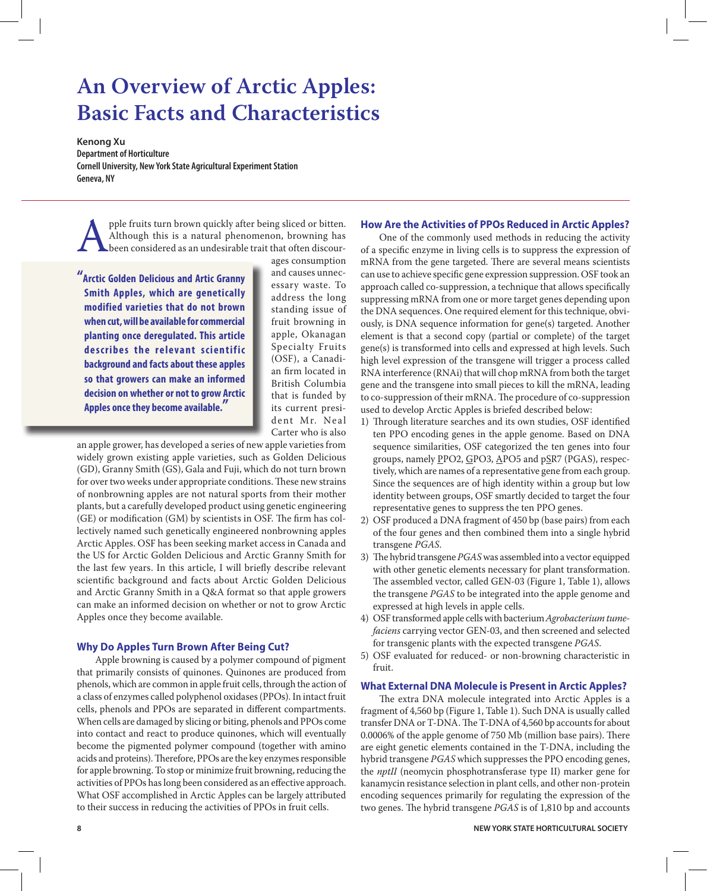# **An Overview of Arctic Apples: Basic Facts and Characteristics**

**Kenong Xu Department of Horticulture Cornell University, New York State Agricultural Experiment Station Geneva, NY**

pple fruits turn brown quickly after being sliced or bitten.<br>Although this is a natural phenomenon, browning has<br>been considered as an undesirable trait that often discour-<br>ages consumption Although this is a natural phenomenon, browning has been considered as an undesirable trait that often discour-

**"Arctic Golden Delicious and Artic Granny Smith Apples, which are genetically modified varieties that do not brown when cut, will be available for commercial planting once deregulated. This article**  describes the relevant scientific **background and facts about these apples so that growers can make an informed decision on whether or not to grow Arctic Apples once they become available."**

ages consumption and causes unnecessary waste. To address the long standing issue of fruit browning in apple, Okanagan Specialty Fruits (OSF), a Canadian firm located in British Columbia that is funded by its current president Mr. Neal Carter who is also

an apple grower, has developed a series of new apple varieties from widely grown existing apple varieties, such as Golden Delicious (GD), Granny Smith (GS), Gala and Fuji, which do not turn brown for over two weeks under appropriate conditions. These new strains of nonbrowning apples are not natural sports from their mother plants, but a carefully developed product using genetic engineering (GE) or modification (GM) by scientists in OSF. The firm has collectively named such genetically engineered nonbrowning apples Arctic Apples. OSF has been seeking market access in Canada and the US for Arctic Golden Delicious and Arctic Granny Smith for the last few years. In this article, I will briefly describe relevant scientific background and facts about Arctic Golden Delicious and Arctic Granny Smith in a Q&A format so that apple growers can make an informed decision on whether or not to grow Arctic Apples once they become available.

# **Why Do Apples Turn Brown After Being Cut?**

Apple browning is caused by a polymer compound of pigment that primarily consists of quinones. Quinones are produced from phenols, which are common in apple fruit cells, through the action of a class of enzymes called polyphenol oxidases (PPOs). In intact fruit cells, phenols and PPOs are separated in different compartments. When cells are damaged by slicing or biting, phenols and PPOs come into contact and react to produce quinones, which will eventually become the pigmented polymer compound (together with amino acids and proteins). Therefore, PPOs are the key enzymes responsible for apple browning. To stop or minimize fruit browning, reducing the activities of PPOs has long been considered as an effective approach. What OSF accomplished in Arctic Apples can be largely attributed to their success in reducing the activities of PPOs in fruit cells.

# **How Are the Activities of PPOs Reduced in Arctic Apples?**

One of the commonly used methods in reducing the activity of a specific enzyme in living cells is to suppress the expression of mRNA from the gene targeted. There are several means scientists can use to achieve specific gene expression suppression. OSF took an approach called co-suppression, a technique that allows specifically suppressing mRNA from one or more target genes depending upon the DNA sequences. One required element for this technique, obviously, is DNA sequence information for gene(s) targeted. Another element is that a second copy (partial or complete) of the target gene(s) is transformed into cells and expressed at high levels. Such high level expression of the transgene will trigger a process called RNA interference (RNAi) that will chop mRNA from both the target gene and the transgene into small pieces to kill the mRNA, leading to co-suppression of their mRNA. The procedure of co-suppression used to develop Arctic Apples is briefed described below:

- 1) Through literature searches and its own studies, OSF identified ten PPO encoding genes in the apple genome. Based on DNA sequence similarities, OSF categorized the ten genes into four groups, namely PPO2, GPO3, APO5 and pSR7 (PGAS), respectively, which are names of a representative gene from each group. Since the sequences are of high identity within a group but low identity between groups, OSF smartly decided to target the four representative genes to suppress the ten PPO genes.
- 2) OSF produced a DNA fragment of 450 bp (base pairs) from each of the four genes and then combined them into a single hybrid transgene *PGAS*.
- 3) The hybrid transgene *PGAS* was assembled into a vector equipped with other genetic elements necessary for plant transformation. The assembled vector, called GEN-03 (Figure 1, Table 1), allows the transgene *PGAS* to be integrated into the apple genome and expressed at high levels in apple cells.
- 4) OSF transformed apple cells with bacterium *Agrobacterium tumefaciens* carrying vector GEN-03, and then screened and selected for transgenic plants with the expected transgene *PGAS*.
- 5) OSF evaluated for reduced- or non-browning characteristic in fruit.

## **What External DNA Molecule is Present in Arctic Apples?**

The extra DNA molecule integrated into Arctic Apples is a fragment of 4,560 bp (Figure 1, Table 1). Such DNA is usually called transfer DNA or T-DNA. The T-DNA of 4,560 bp accounts for about 0.0006% of the apple genome of 750 Mb (million base pairs). There are eight genetic elements contained in the T-DNA, including the hybrid transgene *PGAS* which suppresses the PPO encoding genes, the *nptII* (neomycin phosphotransferase type II) marker gene for kanamycin resistance selection in plant cells, and other non-protein encoding sequences primarily for regulating the expression of the two genes. The hybrid transgene *PGAS* is of 1,810 bp and accounts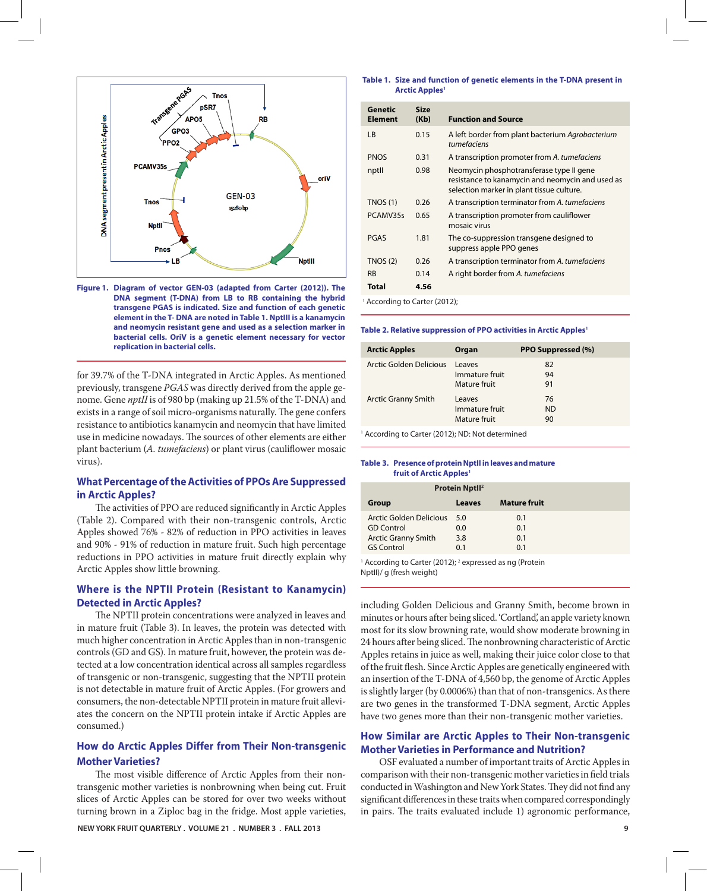

**Figure 1. Diagram of vector GEN-03 (adapted from Carter (2012)). The DNA segment (T-DNA) from LB to RB containing the hybrid transgene PGAS is indicated. Size and function of each genetic element in the T- DNA are noted in Table 1. NptIII is a kanamycin and neomycin resistant gene and used as a selection marker in bacterial cells. OriV is a genetic element necessary for vector replication in bacterial cells.**

for 39.7% of the T-DNA integrated in Arctic Apples. As mentioned previously, transgene *PGAS* was directly derived from the apple genome. Gene *nptII* is of 980 bp (making up 21.5% of the T-DNA) and exists in a range of soil micro-organisms naturally. The gene confers resistance to antibiotics kanamycin and neomycin that have limited use in medicine nowadays. The sources of other elements are either plant bacterium (*A. tumefaciens*) or plant virus (cauliflower mosaic virus).

## **What Percentage of the Activities of PPOs Are Suppressed in Arctic Apples?**

The activities of PPO are reduced significantly in Arctic Apples (Table 2). Compared with their non-transgenic controls, Arctic Apples showed 76% - 82% of reduction in PPO activities in leaves and 90% - 91% of reduction in mature fruit. Such high percentage reductions in PPO activities in mature fruit directly explain why Arctic Apples show little browning.

## **Where is the NPTII Protein (Resistant to Kanamycin) Detected in Arctic Apples?**

The NPTII protein concentrations were analyzed in leaves and in mature fruit (Table 3). In leaves, the protein was detected with much higher concentration in Arctic Apples than in non-transgenic controls (GD and GS). In mature fruit, however, the protein was detected at a low concentration identical across all samples regardless of transgenic or non-transgenic, suggesting that the NPTII protein is not detectable in mature fruit of Arctic Apples. (For growers and consumers, the non-detectable NPTII protein in mature fruit alleviates the concern on the NPTII protein intake if Arctic Apples are consumed.)

# **How do Arctic Apples Differ from Their Non-transgenic Mother Varieties?**

The most visible difference of Arctic Apples from their nontransgenic mother varieties is nonbrowning when being cut. Fruit slices of Arctic Apples can be stored for over two weeks without turning brown in a Ziploc bag in the fridge. Most apple varieties,

#### **NEW YORK FRUIT QUARTERLY . VOLUME 21 . NUMBER 3 . FALL 2013 9**

#### **Table 1. Size and function of genetic elements in the T-DNA present in Arctic Apples1**

| Genetic<br>Element | <b>Size</b><br>(Kb) | <b>Function and Source</b>                                                                                                                |
|--------------------|---------------------|-------------------------------------------------------------------------------------------------------------------------------------------|
| LB                 | 0.15                | A left border from plant bacterium Agrobacterium<br>tumefaciens                                                                           |
| <b>PNOS</b>        | 0.31                | A transcription promoter from A. tumefaciens                                                                                              |
| nptll              | 0.98                | Neomycin phosphotransferase type II gene<br>resistance to kanamycin and neomycin and used as<br>selection marker in plant tissue culture. |
| TNOS(1)            | 0.26                | A transcription terminator from A. tumefaciens                                                                                            |
| PCAMV35s           | 0.65                | A transcription promoter from cauliflower<br>mosaic virus                                                                                 |
| PGAS               | 1.81                | The co-suppression transgene designed to<br>suppress apple PPO genes                                                                      |
| TNOS(2)            | 0.26                | A transcription terminator from A. tumefaciens                                                                                            |
| <b>RB</b>          | 0.14                | A right border from A. tumefaciens                                                                                                        |
| <b>Total</b>       | 4.56                |                                                                                                                                           |

<sup>1</sup> According to Carter (2012);

#### **Table 2. Relative suppression of PPO activities in Arctic Apples<sup>1</sup>**

| <b>Arctic Apples</b>       | Organ                                    | <b>PPO Suppressed (%)</b> |
|----------------------------|------------------------------------------|---------------------------|
| Arctic Golden Delicious    | Leaves<br>Immature fruit<br>Mature fruit | 82<br>94<br>91            |
| <b>Arctic Granny Smith</b> | Leaves<br>Immature fruit<br>Mature fruit | 76<br>ND<br>90            |

<sup>1</sup> According to Carter (2012); ND: Not determined

#### **Table 3. PresenceofproteinNptIIinleaves andmature fruit of Arctic Apples1**

| <b>Protein Nptll<sup>2</sup></b> |        |                     |  |
|----------------------------------|--------|---------------------|--|
| Group                            | Leaves | <b>Mature fruit</b> |  |
| Arctic Golden Delicious 5.0      |        | 0.1                 |  |
| <b>GD</b> Control                | 0.0    | 0.1                 |  |
| <b>Arctic Granny Smith</b>       | 3.8    | 0.1                 |  |
| <b>GS Control</b>                | 0.1    | 0.1                 |  |

<sup>1</sup> According to Carter (2012); <sup>2</sup> expressed as ng (Protein NptII)/ g (fresh weight)

including Golden Delicious and Granny Smith, become brown in minutes or hours after being sliced. 'Cortland', an apple variety known most for its slow browning rate, would show moderate browning in 24 hours after being sliced. The nonbrowning characteristic of Arctic Apples retains in juice as well, making their juice color close to that of the fruit flesh. Since Arctic Apples are genetically engineered with an insertion of the T-DNA of 4,560 bp, the genome of Arctic Apples is slightly larger (by 0.0006%) than that of non-transgenics. As there are two genes in the transformed T-DNA segment, Arctic Apples have two genes more than their non-transgenic mother varieties.

## **How Similar are Arctic Apples to Their Non-transgenic Mother Varieties in Performance and Nutrition?**

OSF evaluated a number of important traits of Arctic Applesin comparison with their non-transgenic mother varieties in field trials conducted in Washington and New York States. They did not find any significant differences in these traits when compared correspondingly in pairs. The traits evaluated include 1) agronomic performance,